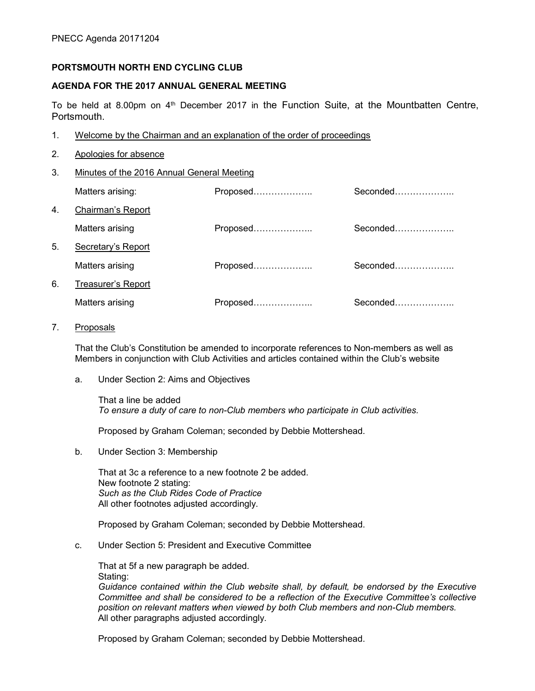### PORTSMOUTH NORTH END CYCLING CLUB

### AGENDA FOR THE 2017 ANNUAL GENERAL MEETING

To be held at 8.00pm on  $4<sup>th</sup>$  December 2017 in the Function Suite, at the Mountbatten Centre, Portsmouth.

- 1. Welcome by the Chairman and an explanation of the order of proceedings
- 2. Apologies for absence
- 3. Minutes of the 2016 Annual General Meeting

Matters arising: The Seconded Exercise of Proposed………………………………………………………………………………

| 4. | Chairman's Report  |          |          |
|----|--------------------|----------|----------|
|    | Matters arising    | Proposed | Seconded |
| 5. | Secretary's Report |          |          |
|    | Matters arising    | Proposed | Seconded |
| 6. | Treasurer's Report |          |          |
|    | Matters arising    | Proposed | Seconded |

7. Proposals

That the Club's Constitution be amended to incorporate references to Non-members as well as Members in conjunction with Club Activities and articles contained within the Club's website

a. Under Section 2: Aims and Objectives

That a line be added To ensure a duty of care to non-Club members who participate in Club activities.

Proposed by Graham Coleman; seconded by Debbie Mottershead.

b. Under Section 3: Membership

That at 3c a reference to a new footnote 2 be added. New footnote 2 stating: Such as the Club Rides Code of Practice All other footnotes adjusted accordingly.

Proposed by Graham Coleman; seconded by Debbie Mottershead.

c. Under Section 5: President and Executive Committee

That at 5f a new paragraph be added. Stating:

Guidance contained within the Club website shall, by default, be endorsed by the Executive Committee and shall be considered to be a reflection of the Executive Committee's collective position on relevant matters when viewed by both Club members and non-Club members. All other paragraphs adjusted accordingly.

Proposed by Graham Coleman; seconded by Debbie Mottershead.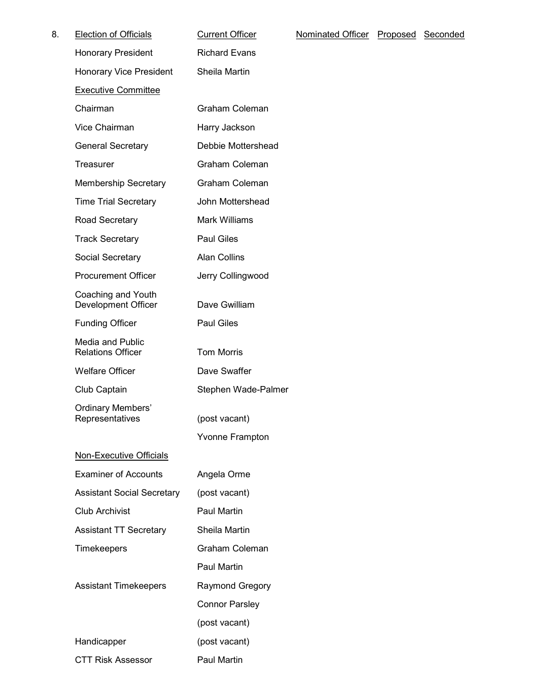| 8. | <b>Election of Officials</b>                 | <b>Current Officer</b> | Nominated Officer | Proposed Seconded |  |
|----|----------------------------------------------|------------------------|-------------------|-------------------|--|
|    | <b>Honorary President</b>                    | <b>Richard Evans</b>   |                   |                   |  |
|    | <b>Honorary Vice President</b>               | Sheila Martin          |                   |                   |  |
|    | <b>Executive Committee</b>                   |                        |                   |                   |  |
|    | Chairman                                     | Graham Coleman         |                   |                   |  |
|    | Vice Chairman                                | Harry Jackson          |                   |                   |  |
|    | <b>General Secretary</b>                     | Debbie Mottershead     |                   |                   |  |
|    | Treasurer                                    | Graham Coleman         |                   |                   |  |
|    | <b>Membership Secretary</b>                  | Graham Coleman         |                   |                   |  |
|    | <b>Time Trial Secretary</b>                  | John Mottershead       |                   |                   |  |
|    | Road Secretary                               | <b>Mark Williams</b>   |                   |                   |  |
|    | <b>Track Secretary</b>                       | <b>Paul Giles</b>      |                   |                   |  |
|    | Social Secretary                             | <b>Alan Collins</b>    |                   |                   |  |
|    | <b>Procurement Officer</b>                   | Jerry Collingwood      |                   |                   |  |
|    | Coaching and Youth<br>Development Officer    | Dave Gwilliam          |                   |                   |  |
|    | <b>Funding Officer</b>                       | <b>Paul Giles</b>      |                   |                   |  |
|    | Media and Public<br><b>Relations Officer</b> | <b>Tom Morris</b>      |                   |                   |  |
|    | <b>Welfare Officer</b>                       | Dave Swaffer           |                   |                   |  |
|    | Club Captain                                 | Stephen Wade-Palmer    |                   |                   |  |
|    | <b>Ordinary Members'</b><br>Representatives  | (post vacant)          |                   |                   |  |
|    | <b>Non-Executive Officials</b>               | <b>Yvonne Frampton</b> |                   |                   |  |
|    | <b>Examiner of Accounts</b>                  | Angela Orme            |                   |                   |  |
|    | <b>Assistant Social Secretary</b>            | (post vacant)          |                   |                   |  |
|    | <b>Club Archivist</b>                        | Paul Martin            |                   |                   |  |
|    | <b>Assistant TT Secretary</b>                | Sheila Martin          |                   |                   |  |
|    | Timekeepers                                  | Graham Coleman         |                   |                   |  |
|    |                                              | Paul Martin            |                   |                   |  |
|    | <b>Assistant Timekeepers</b>                 | <b>Raymond Gregory</b> |                   |                   |  |
|    |                                              | <b>Connor Parsley</b>  |                   |                   |  |
|    |                                              | (post vacant)          |                   |                   |  |
|    | Handicapper                                  | (post vacant)          |                   |                   |  |
|    | <b>CTT Risk Assessor</b>                     | Paul Martin            |                   |                   |  |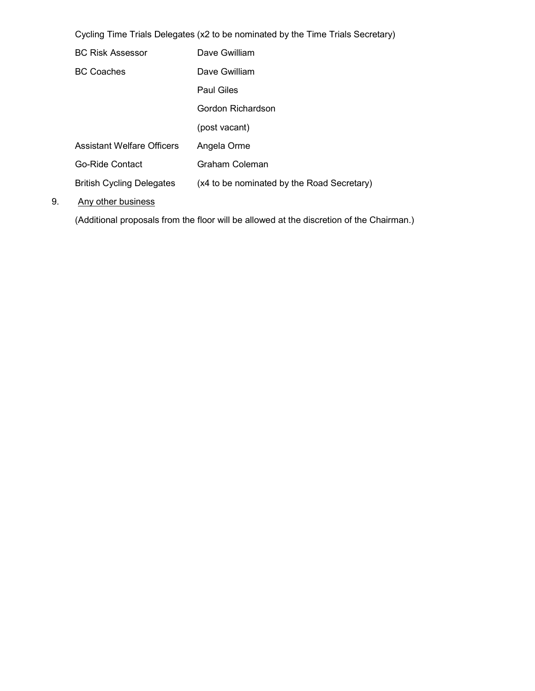Cycling Time Trials Delegates (x2 to be nominated by the Time Trials Secretary)

| <b>BC Risk Assessor</b>           | Dave Gwilliam                              |
|-----------------------------------|--------------------------------------------|
| <b>BC Coaches</b>                 | Dave Gwilliam                              |
|                                   | <b>Paul Giles</b>                          |
|                                   | Gordon Richardson                          |
|                                   | (post vacant)                              |
| <b>Assistant Welfare Officers</b> | Angela Orme                                |
| Go-Ride Contact                   | Graham Coleman                             |
| <b>British Cycling Delegates</b>  | (x4 to be nominated by the Road Secretary) |
|                                   |                                            |

### 9. Any other business

(Additional proposals from the floor will be allowed at the discretion of the Chairman.)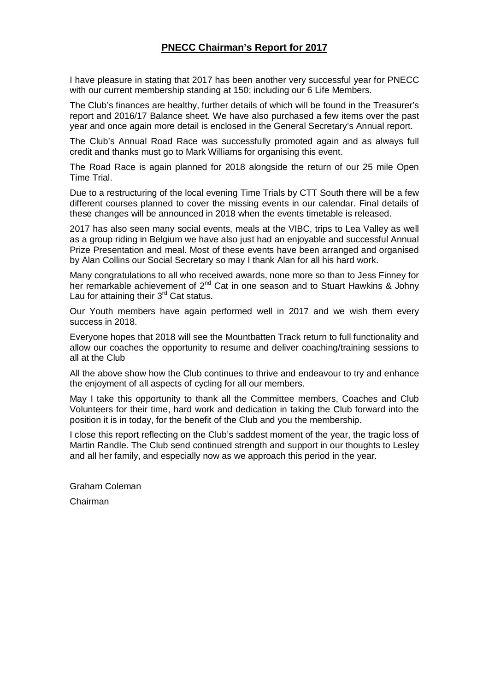## **PNECC Chairman's Report for 2017**

I have pleasure in stating that 2017 has been another very successful year for PNECC with our current membership standing at 150; including our 6 Life Members.

The Club's finances are healthy, further details of which will be found in the Treasurer's report and 2016/17 Balance sheet. We have also purchased a few items over the past year and once again more detail is enclosed in the General Secretary's Annual report.

The Club's Annual Road Race was successfully promoted again and as always full credit and thanks must go to Mark Williams for organising this event.

The Road Race is again planned for 2018 alongside the return of our 25 mile Open Time Trial.

Due to a restructuring of the local evening Time Trials by CTT South there will be a few different courses planned to cover the missing events in our calendar. Final details of these changes will be announced in 2018 when the events timetable is released.

2017 has also seen many social events, meals at the VIBC, trips to Lea Valley as well as a group riding in Belgium we have also just had an enjoyable and successful Annual Prize Presentation and meal. Most of these events have been arranged and organised by Alan Collins our Social Secretary so may I thank Alan for all his hard work.

Many congratulations to all who received awards, none more so than to Jess Finney for her remarkable achievement of 2<sup>nd</sup> Cat in one season and to Stuart Hawkins & Johny Lau for attaining their  $3<sup>rd</sup>$  Cat status.

Our Youth members have again performed well in 2017 and we wish them every success in 2018.

Everyone hopes that 2018 will see the Mountbatten Track return to full functionality and allow our coaches the opportunity to resume and deliver coaching/training sessions to all at the Club

All the above show how the Club continues to thrive and endeavour to try and enhance the enjoyment of all aspects of cycling for all our members.

May I take this opportunity to thank all the Committee members, Coaches and Club Volunteers for their time, hard work and dedication in taking the Club forward into the position it is in today, for the benefit of the Club and you the membership.

I close this report reflecting on the Club's saddest moment of the year, the tragic loss of Martin Randle. The Club send continued strength and support in our thoughts to Lesley and all her family, and especially now as we approach this period in the year.

Graham Coleman Chairman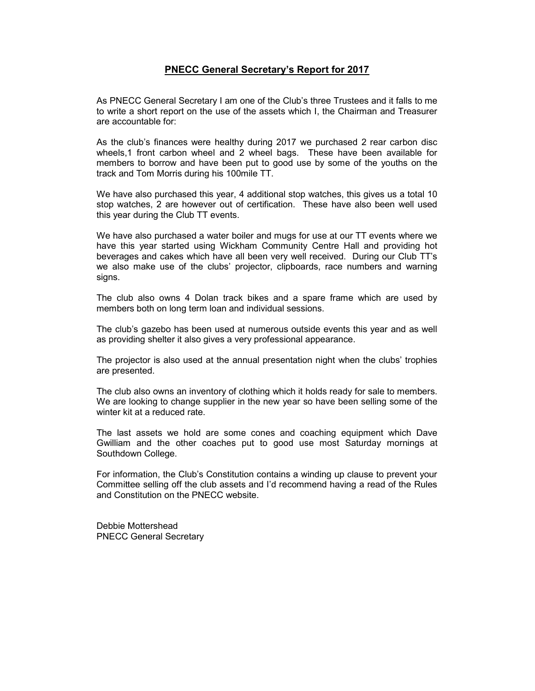### PNECC General Secretary's Report for 2017

As PNECC General Secretary I am one of the Club's three Trustees and it falls to me to write a short report on the use of the assets which I, the Chairman and Treasurer are accountable for:

As the club's finances were healthy during 2017 we purchased 2 rear carbon disc wheels,1 front carbon wheel and 2 wheel bags. These have been available for members to borrow and have been put to good use by some of the youths on the track and Tom Morris during his 100mile TT.

We have also purchased this year, 4 additional stop watches, this gives us a total 10 stop watches, 2 are however out of certification. These have also been well used this year during the Club TT events.

We have also purchased a water boiler and mugs for use at our TT events where we have this year started using Wickham Community Centre Hall and providing hot beverages and cakes which have all been very well received. During our Club TT's we also make use of the clubs' projector, clipboards, race numbers and warning signs.

The club also owns 4 Dolan track bikes and a spare frame which are used by members both on long term loan and individual sessions.

The club's gazebo has been used at numerous outside events this year and as well as providing shelter it also gives a very professional appearance.

The projector is also used at the annual presentation night when the clubs' trophies are presented.

The club also owns an inventory of clothing which it holds ready for sale to members. We are looking to change supplier in the new year so have been selling some of the winter kit at a reduced rate.

The last assets we hold are some cones and coaching equipment which Dave Gwilliam and the other coaches put to good use most Saturday mornings at Southdown College.

For information, the Club's Constitution contains a winding up clause to prevent your Committee selling off the club assets and I'd recommend having a read of the Rules and Constitution on the PNECC website.

Debbie Mottershead PNECC General Secretary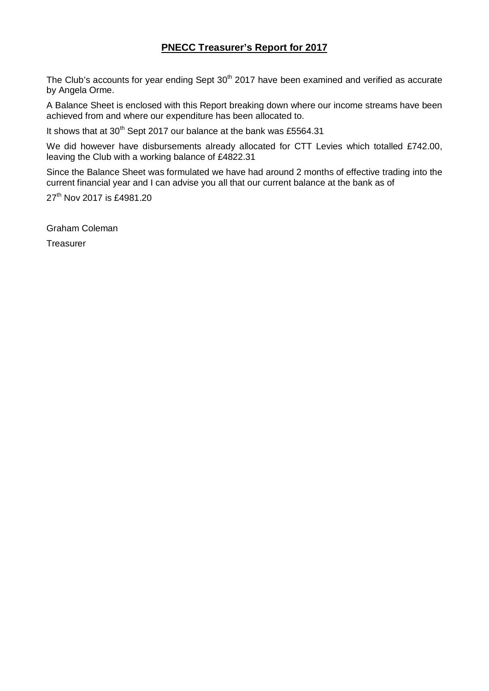# **PNECC Treasurer's Report for 2017**

The Club's accounts for year ending Sept 30<sup>th</sup> 2017 have been examined and verified as accurate by Angela Orme.

A Balance Sheet is enclosed with this Report breaking down where our income streams have been achieved from and where our expenditure has been allocated to.

It shows that at  $30^{th}$  Sept 2017 our balance at the bank was £5564.31

We did however have disbursements already allocated for CTT Levies which totalled £742.00, leaving the Club with a working balance of £4822.31

Since the Balance Sheet was formulated we have had around 2 months of effective trading into the current financial year and I can advise you all that our current balance at the bank as of

27<sup>th</sup> Nov 2017 is £4981.20

Graham Coleman

**Treasurer**